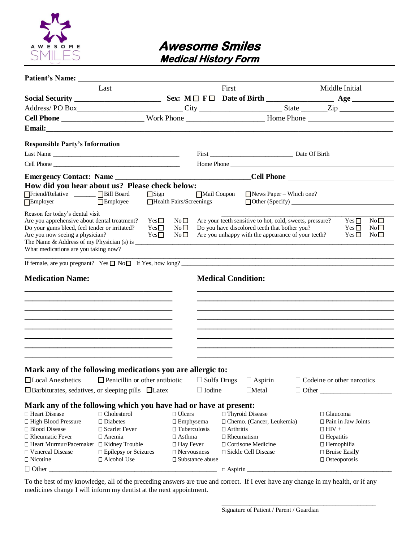

## **Awesome Smiles Medical History Form**

| <b>Patient's Name:</b>                                                                                    |                                                                                                                                                                                                                               |                         |                     |                        |                   |                                                          |                  |                           |    |
|-----------------------------------------------------------------------------------------------------------|-------------------------------------------------------------------------------------------------------------------------------------------------------------------------------------------------------------------------------|-------------------------|---------------------|------------------------|-------------------|----------------------------------------------------------|------------------|---------------------------|----|
|                                                                                                           | Last                                                                                                                                                                                                                          |                         |                     |                        | First             |                                                          |                  | Middle Initial            |    |
|                                                                                                           |                                                                                                                                                                                                                               |                         |                     |                        |                   |                                                          |                  |                           |    |
|                                                                                                           |                                                                                                                                                                                                                               |                         |                     |                        |                   |                                                          |                  |                           |    |
|                                                                                                           |                                                                                                                                                                                                                               |                         |                     |                        |                   |                                                          |                  |                           |    |
|                                                                                                           |                                                                                                                                                                                                                               |                         |                     |                        |                   |                                                          |                  |                           |    |
|                                                                                                           |                                                                                                                                                                                                                               |                         |                     |                        |                   |                                                          |                  |                           |    |
| <b>Responsible Party's Information</b>                                                                    |                                                                                                                                                                                                                               |                         |                     |                        |                   |                                                          |                  |                           |    |
| Last Name                                                                                                 |                                                                                                                                                                                                                               |                         |                     |                        |                   |                                                          |                  |                           |    |
|                                                                                                           |                                                                                                                                                                                                                               |                         |                     |                        |                   | Home Phone                                               |                  |                           |    |
|                                                                                                           |                                                                                                                                                                                                                               |                         |                     |                        |                   |                                                          |                  |                           |    |
| <b>Emergency Contact: Name</b>                                                                            |                                                                                                                                                                                                                               |                         |                     |                        |                   |                                                          |                  |                           |    |
| How did you hear about us? Please check below:                                                            |                                                                                                                                                                                                                               |                         |                     |                        |                   |                                                          |                  |                           |    |
| Friend/Relative _______ Bill Board                                                                        |                                                                                                                                                                                                                               | $\Box$ Sign             |                     | Mail Coupon            |                   | News Paper – Which one?                                  |                  |                           |    |
| Employer                                                                                                  | Employee                                                                                                                                                                                                                      | Health Fairs/Screenings |                     |                        |                   |                                                          |                  |                           |    |
| Reason for today's dental visit                                                                           |                                                                                                                                                                                                                               |                         |                     |                        |                   |                                                          |                  |                           |    |
| Are you apprehensive about dental treatment?                                                              |                                                                                                                                                                                                                               | Yes                     | No                  |                        |                   | Are your teeth sensitive to hot, cold, sweets, pressure? |                  | Yes $\square$             | No |
| Do your gums bleed, feel tender or irritated?                                                             |                                                                                                                                                                                                                               | $Yes \Box$              | $\rm No$ $\Box$     |                        |                   | Do you have discolored teeth that bother you?            |                  | $Yes \Box$                | No |
| Are you now seeing a physician?                                                                           |                                                                                                                                                                                                                               | Yes                     | No                  |                        |                   | Are you unhappy with the appearance of your teeth?       |                  | $Yes \Box$                | No |
| The Name $&$ Address of my Physician (s) is $\frac{ }{ }$                                                 |                                                                                                                                                                                                                               |                         |                     |                        |                   |                                                          |                  |                           |    |
| What medications are you taking now?                                                                      |                                                                                                                                                                                                                               |                         |                     |                        |                   |                                                          |                  |                           |    |
| If female, are you pregnant? Yes $\Box$ No $\Box$ If Yes, how long?                                       |                                                                                                                                                                                                                               |                         |                     |                        |                   |                                                          |                  |                           |    |
|                                                                                                           |                                                                                                                                                                                                                               |                         |                     |                        |                   |                                                          |                  |                           |    |
| <b>Medication Name:</b>                                                                                   |                                                                                                                                                                                                                               |                         |                     |                        |                   | <b>Medical Condition:</b>                                |                  |                           |    |
|                                                                                                           |                                                                                                                                                                                                                               |                         |                     |                        |                   |                                                          |                  |                           |    |
|                                                                                                           |                                                                                                                                                                                                                               |                         |                     |                        |                   |                                                          |                  |                           |    |
|                                                                                                           |                                                                                                                                                                                                                               |                         |                     |                        |                   |                                                          |                  |                           |    |
|                                                                                                           | the control of the control of the control of the control of the control of the control of the control of the control of the control of the control of the control of the control of the control of the control of the control |                         |                     |                        |                   |                                                          |                  |                           |    |
|                                                                                                           |                                                                                                                                                                                                                               |                         |                     |                        |                   |                                                          |                  |                           |    |
|                                                                                                           | the control of the control of the control of the control of the control of the control of the control of the control of the control of the control of the control of the control of the control of the control of the control |                         |                     |                        |                   |                                                          |                  |                           |    |
|                                                                                                           |                                                                                                                                                                                                                               |                         |                     |                        |                   |                                                          |                  |                           |    |
|                                                                                                           |                                                                                                                                                                                                                               |                         |                     |                        |                   |                                                          |                  |                           |    |
|                                                                                                           |                                                                                                                                                                                                                               |                         |                     |                        |                   |                                                          |                  |                           |    |
|                                                                                                           |                                                                                                                                                                                                                               |                         |                     |                        |                   |                                                          |                  |                           |    |
| Mark any of the following medications you are allergic to:                                                |                                                                                                                                                                                                                               |                         |                     |                        |                   |                                                          |                  |                           |    |
| □ Local Anesthetics □ Penicillin or other antibiotic □ Sulfa Drugs □ Aspirin □ Codeine or other narcotics |                                                                                                                                                                                                                               |                         |                     |                        |                   |                                                          |                  |                           |    |
| $\Box$ Barbiturates, sedatives, or sleeping pills $\Box$ Latex                                            |                                                                                                                                                                                                                               |                         |                     | $\Box$ Iodine          |                   | $\Box$ Metal                                             |                  |                           |    |
|                                                                                                           |                                                                                                                                                                                                                               |                         |                     |                        |                   |                                                          |                  |                           |    |
| Mark any of the following which you have had or have at present:                                          |                                                                                                                                                                                                                               |                         |                     |                        |                   |                                                          |                  |                           |    |
| □ Heart Disease                                                                                           | $\Box$ Cholesterol                                                                                                                                                                                                            |                         | $\Box$ Ulcers       |                        |                   | □ Thyroid Disease                                        | $\Box$ Glaucoma  |                           |    |
| □ High Blood Pressure                                                                                     | $\square$ Diabetes                                                                                                                                                                                                            |                         | $\Box$ Emphysema    |                        |                   | □ Chemo. (Cancer, Leukemia)                              |                  | $\Box$ Pain in Jaw Joints |    |
| □ Blood Disease                                                                                           | □ Scarlet Fever                                                                                                                                                                                                               |                         | $\Box$ Tuberculosis |                        | $\Box$ Arthritis  |                                                          | $\Box$ HIV +     |                           |    |
| □ Rheumatic Fever                                                                                         | □ Anemia                                                                                                                                                                                                                      |                         | $\Box$ Asthma       |                        | $\Box$ Rheumatism |                                                          | $\Box$ Hepatitis |                           |    |
| □ Heart Murmur/Pacemaker □ Kidney Trouble                                                                 |                                                                                                                                                                                                                               |                         | $\Box$ Hay Fever    |                        |                   | $\Box$ Cortisone Medicine                                |                  | $\Box$ Hemophilia         |    |
| □ Venereal Disease                                                                                        | □ Epilepsy or Seizures                                                                                                                                                                                                        |                         | $\Box$ Nervousness  |                        |                   | □ Sickle Cell Disease                                    |                  | $\square$ Bruise Easily   |    |
| $\Box$ Nicotine                                                                                           | □ Alcohol Use                                                                                                                                                                                                                 |                         |                     | $\Box$ Substance abuse |                   |                                                          |                  | $\Box$ Osteoporosis       |    |
| $\Box$ Other                                                                                              |                                                                                                                                                                                                                               |                         |                     |                        | $\Box$ Aspirin    |                                                          |                  |                           |    |

To the best of my knowledge, all of the preceding answers are true and correct. If I ever have any change in my health, or if any medicines change I will inform my dentist at the next appointment.

\_\_\_\_\_\_\_\_\_\_\_\_\_\_\_\_\_\_\_\_\_\_\_\_\_\_\_\_\_\_\_\_\_\_\_\_\_\_\_\_\_\_\_\_\_\_\_\_\_\_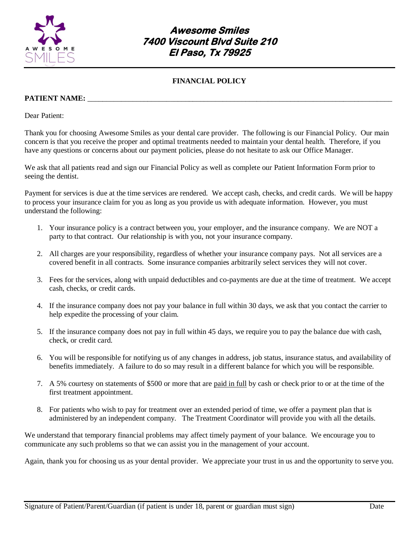

## **Awesome Smiles 7400 Viscount Blvd Suite 210 El Paso, Tx 79925**

### **FINANCIAL POLICY**

#### **PATIENT NAME:**

Dear Patient:

Thank you for choosing Awesome Smiles as your dental care provider. The following is our Financial Policy. Our main concern is that you receive the proper and optimal treatments needed to maintain your dental health. Therefore, if you have any questions or concerns about our payment policies, please do not hesitate to ask our Office Manager.

We ask that all patients read and sign our Financial Policy as well as complete our Patient Information Form prior to seeing the dentist.

Payment for services is due at the time services are rendered. We accept cash, checks, and credit cards. We will be happy to process your insurance claim for you as long as you provide us with adequate information. However, you must understand the following:

- 1. Your insurance policy is a contract between you, your employer, and the insurance company. We are NOT a party to that contract. Our relationship is with you, not your insurance company.
- 2. All charges are your responsibility, regardless of whether your insurance company pays. Not all services are a covered benefit in all contracts. Some insurance companies arbitrarily select services they will not cover.
- 3. Fees for the services, along with unpaid deductibles and co-payments are due at the time of treatment. We accept cash, checks, or credit cards.
- 4. If the insurance company does not pay your balance in full within 30 days, we ask that you contact the carrier to help expedite the processing of your claim.
- 5. If the insurance company does not pay in full within 45 days, we require you to pay the balance due with cash, check, or credit card.
- 6. You will be responsible for notifying us of any changes in address, job status, insurance status, and availability of benefits immediately. A failure to do so may result in a different balance for which you will be responsible.
- 7. A 5% courtesy on statements of \$500 or more that are paid in full by cash or check prior to or at the time of the first treatment appointment.
- 8. For patients who wish to pay for treatment over an extended period of time, we offer a payment plan that is administered by an independent company. The Treatment Coordinator will provide you with all the details.

We understand that temporary financial problems may affect timely payment of your balance. We encourage you to communicate any such problems so that we can assist you in the management of your account.

Again, thank you for choosing us as your dental provider. We appreciate your trust in us and the opportunity to serve you.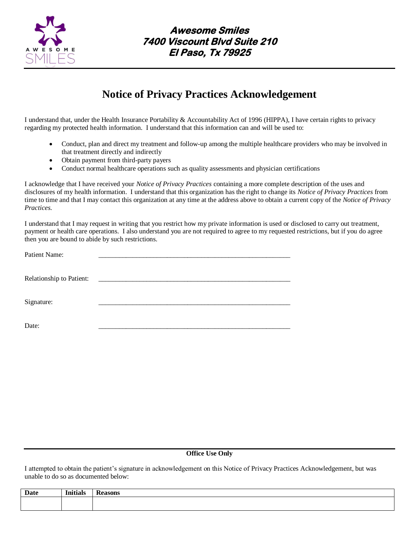

# **Notice of Privacy Practices Acknowledgement**

I understand that, under the Health Insurance Portability & Accountability Act of 1996 (HIPPA), I have certain rights to privacy regarding my protected health information. I understand that this information can and will be used to:

- Conduct, plan and direct my treatment and follow-up among the multiple healthcare providers who may be involved in that treatment directly and indirectly
- Obtain payment from third-party payers
- Conduct normal healthcare operations such as quality assessments and physician certifications

I acknowledge that I have received your *Notice of Privacy Practices* containing a more complete description of the uses and disclosures of my health information. I understand that this organization has the right to change its *Notice of Privacy Practices* from time to time and that I may contact this organization at any time at the address above to obtain a current copy of the *Notice of Privacy Practices.*

I understand that I may request in writing that you restrict how my private information is used or disclosed to carry out treatment, payment or health care operations. I also understand you are not required to agree to my requested restrictions, but if you do agree then you are bound to abide by such restrictions.

| Patient Name:            |  |
|--------------------------|--|
|                          |  |
| Relationship to Patient: |  |
| Signature:               |  |
|                          |  |
| Date:                    |  |

#### **Office Use Only**

I attempted to obtain the patient's signature in acknowledgement on this Notice of Privacy Practices Acknowledgement, but was unable to do so as documented below:

| Date | <b>Initials</b> | 0.00000<br>asulis |
|------|-----------------|-------------------|
|      |                 |                   |